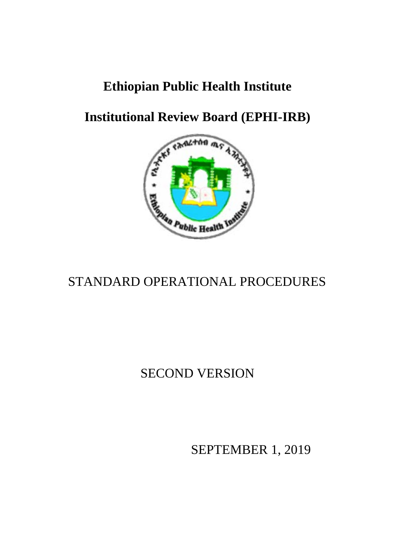## **Ethiopian Public Health Institute**

**Institutional Review Board (EPHI-IRB)**



## STANDARD OPERATIONAL PROCEDURES

## SECOND VERSION

SEPTEMBER 1, 2019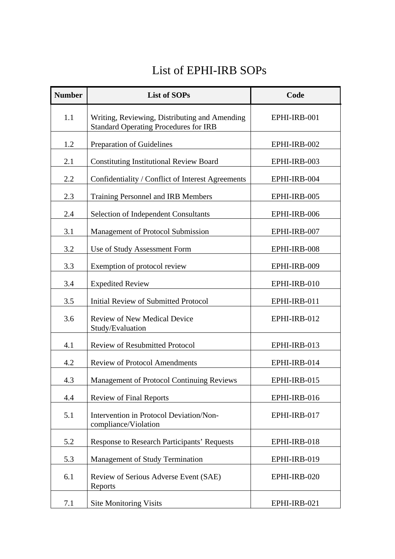## List of EPHI-IRB SOPs

| <b>Number</b> | <b>List of SOPs</b>                                                                           | Code         |
|---------------|-----------------------------------------------------------------------------------------------|--------------|
| 1.1           | Writing, Reviewing, Distributing and Amending<br><b>Standard Operating Procedures for IRB</b> | EPHI-IRB-001 |
| 1.2           | Preparation of Guidelines                                                                     | EPHI-IRB-002 |
| 2.1           | <b>Constituting Institutional Review Board</b>                                                | EPHI-IRB-003 |
| 2.2           | Confidentiality / Conflict of Interest Agreements                                             | EPHI-IRB-004 |
| 2.3           | Training Personnel and IRB Members                                                            | EPHI-IRB-005 |
| 2.4           | <b>Selection of Independent Consultants</b>                                                   | EPHI-IRB-006 |
| 3.1           | Management of Protocol Submission                                                             | EPHI-IRB-007 |
| 3.2           | Use of Study Assessment Form                                                                  | EPHI-IRB-008 |
| 3.3           | Exemption of protocol review                                                                  | EPHI-IRB-009 |
| 3.4           | <b>Expedited Review</b>                                                                       | EPHI-IRB-010 |
| 3.5           | <b>Initial Review of Submitted Protocol</b>                                                   | EPHI-IRB-011 |
| 3.6           | <b>Review of New Medical Device</b><br>Study/Evaluation                                       | EPHI-IRB-012 |
| 4.1           | <b>Review of Resubmitted Protocol</b>                                                         | EPHI-IRB-013 |
| 4.2           | <b>Review of Protocol Amendments</b>                                                          | EPHI-IRB-014 |
| 4.3           | <b>Management of Protocol Continuing Reviews</b>                                              | EPHI-IRB-015 |
| 4.4           | <b>Review of Final Reports</b>                                                                | EPHI-IRB-016 |
| 5.1           | Intervention in Protocol Deviation/Non-<br>compliance/Violation                               | EPHI-IRB-017 |
| 5.2           | <b>Response to Research Participants' Requests</b>                                            | EPHI-IRB-018 |
| 5.3           | <b>Management of Study Termination</b>                                                        | EPHI-IRB-019 |
| 6.1           | Review of Serious Adverse Event (SAE)<br>Reports                                              | EPHI-IRB-020 |
| 7.1           | <b>Site Monitoring Visits</b>                                                                 | EPHI-IRB-021 |